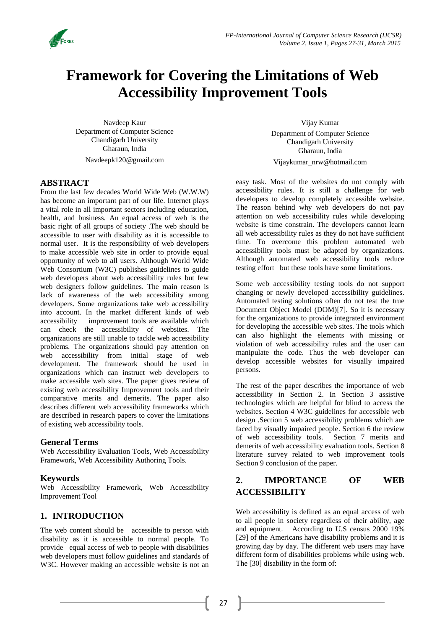

# **Framework for Covering the Limitations of Web Accessibility Improvement Tools**

Navdeep Kaur Department of Computer Science Chandigarh University Gharaun, India [Navdeepk120@gmail.com](mailto:Navdeepk120@gmail.com)

#### **ABSTRACT**

From the last few decades World Wide Web (W.W.W) has become an important part of our life. Internet plays a vital role in all important sectors including education, health, and business. An equal access of web is the basic right of all groups of society .The web should be accessible to user with disability as it is accessible to normal user. It is the responsibility of web developers to make accessible web site in order to provide equal opportunity of web to all users. Although World Wide Web Consortium (W3C) publishes guidelines to guide web developers about web accessibility rules but few web designers follow guidelines. The main reason is lack of awareness of the web accessibility among developers. Some organizations take web accessibility into account. In the market different kinds of web accessibility improvement tools are available which can check the accessibility of websites. The organizations are still unable to tackle web accessibility problems. The organizations should pay attention on web accessibility from initial stage of web development. The framework should be used in organizations which can instruct web developers to make accessible web sites. The paper gives review of existing web accessibility Improvement tools and their comparative merits and demerits. The paper also describes different web accessibility frameworks which are described in research papers to cover the limitations of existing web accessibility tools.

#### **General Terms**

Web Accessibility Evaluation Tools, Web Accessibility Framework, Web Accessibility Authoring Tools.

#### **Keywords**

Web Accessibility Framework, Web Accessibility Improvement Tool

## **1. INTRODUCTION**

The web content should be accessible to person with disability as it is accessible to normal people. To provide equal access of web to people with disabilities web developers must follow guidelines and standards of W3C. However making an accessible website is not an

Vijay Kumar Department of Computer Science Chandigarh University Gharaun, India [Vijaykumar\\_nrw@hotmail.com](mailto:Vijaykumar_nrw@hotmail.com)

easy task. Most of the websites do not comply with accessibility rules. It is still a challenge for web developers to develop completely accessible website. The reason behind why web developers do not pay attention on web accessibility rules while developing website is time constrain. The developers cannot learn all web accessibility rules as they do not have sufficient time. To overcome this problem automated web accessibility tools must be adapted by organizations. Although automated web accessibility tools reduce testing effort but these tools have some limitations.

Some web accessibility testing tools do not support changing or newly developed accessibility guidelines. Automated testing solutions often do not test the true Document Object Model (DOM)[7]. So it is necessary for the organizations to provide integrated environment for developing the accessible web sites. The tools which can also highlight the elements with missing or violation of web accessibility rules and the user can manipulate the code. Thus the web developer can develop accessible websites for visually impaired persons.

The rest of the paper describes the importance of web accessibility in Section 2. In Section 3 assistive technologies which are helpful for blind to access the websites. Section 4 W3C guidelines for accessible web design .Section 5 web accessibility problems which are faced by visually impaired people. Section 6 the review of web accessibility tools. Section 7 merits and demerits of web accessibility evaluation tools. Section 8 literature survey related to web improvement tools Section 9 conclusion of the paper.

# **2. IMPORTANCE OF WEB ACCESSIBILITY**

Web accessibility is defined as an equal access of web to all people in society regardless of their ability, age and equipment. According to U.S census 2000 19% [29] of the Americans have disability problems and it is growing day by day. The different web users may have different form of disabilities problems while using web. The [30] disability in the form of: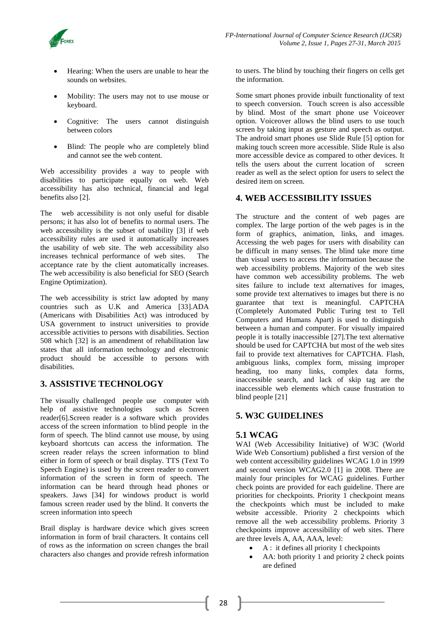

- Hearing: When the users are unable to hear the sounds on websites.
- Mobility: The users may not to use mouse or keyboard.
- Cognitive: The users cannot distinguish between colors
- Blind: The people who are completely blind and cannot see the web content.

Web accessibility provides a way to people with disabilities to participate equally on web. Web accessibility has also technical, financial and legal benefits also [2].

The web accessibility is not only useful for disable persons; it has also lot of benefits to normal users. The web accessibility is the subset of usability [3] if web accessibility rules are used it automatically increases the usability of web site. The web accessibility also increases technical performance of web sites. The acceptance rate by the client automatically increases. The web accessibility is also beneficial for SEO (Search Engine Optimization).

The web accessibility is strict law adopted by many countries such as U.K and America [33].ADA (Americans with Disabilities Act) was introduced by USA government to instruct universities to provide accessible activities to persons with disabilities. Section 508 which [32] is an amendment of rehabilitation law states that all information technology and electronic product should be accessible to persons with disabilities.

# **3. ASSISTIVE TECHNOLOGY**

The visually challenged people use computer with help of assistive technologies such as Screen reader[6].Screen reader is a software which provides access of the screen information to blind people in the form of speech. The blind cannot use mouse, by using keyboard shortcuts can access the information. The screen reader relays the screen information to blind either in form of speech or brail display. TTS (Text To Speech Engine) is used by the screen reader to convert information of the screen in form of speech. The information can be heard through head phones or speakers. Jaws [34] for windows product is world famous screen reader used by the blind. It converts the screen information into speech

Brail display is hardware device which gives screen information in form of brail characters. It contains cell of rows as the information on screen changes the brail characters also changes and provide refresh information to users. The blind by touching their fingers on cells get the information.

Some smart phones provide inbuilt functionality of text to speech conversion. Touch screen is also accessible by blind. Most of the smart phone use Voiceover option. Voiceover allows the blind users to use touch screen by taking input as gesture and speech as output. The android smart phones use Slide Rule [5] option for making touch screen more accessible. Slide Rule is also more accessible device as compared to other devices. It tells the users about the current location of screen reader as well as the select option for users to select the desired item on screen.

## **4. WEB ACCESSIBILITY ISSUES**

The structure and the content of web pages are complex. The large portion of the web pages is in the form of graphics, animation, links, and images. Accessing the web pages for users with disability can be difficult in many senses. The blind take more time than visual users to access the information because the web accessibility problems. Majority of the web sites have common web accessibility problems. The web sites failure to include text alternatives for images, some provide text alternatives to images but there is no guarantee that text is meaningful. CAPTCHA (Completely Automated Public Turing test to Tell Computers and Humans Apart) is used to distinguish between a human and computer. For visually impaired people it is totally inaccessible [27].The text alternative should be used for CAPTCHA but most of the web sites fail to provide text alternatives for CAPTCHA. Flash, ambiguous links, complex form, missing improper heading, too many links, complex data forms, inaccessible search, and lack of skip tag are the inaccessible web elements which cause frustration to blind people [21]

## **5. W3C GUIDELINES**

## **5.1 WCAG**

WAI (Web Accessibility Initiative) of W3C (World Wide Web Consortium) published a first version of the web content accessibility guidelines WCAG 1.0 in 1999 and second version WCAG2.0 [1] in 2008. There are mainly four principles for WCAG guidelines. Further check points are provided for each guideline. There are priorities for checkpoints. Priority 1 checkpoint means the checkpoints which must be included to make website accessible. Priority 2 checkpoints which remove all the web accessibility problems. Priority 3 checkpoints improve accessibility of web sites. There are three levels A, AA, AAA, level:

- A : it defines all priority 1 checkpoints
- AA: both priority 1 and priority 2 check points are defined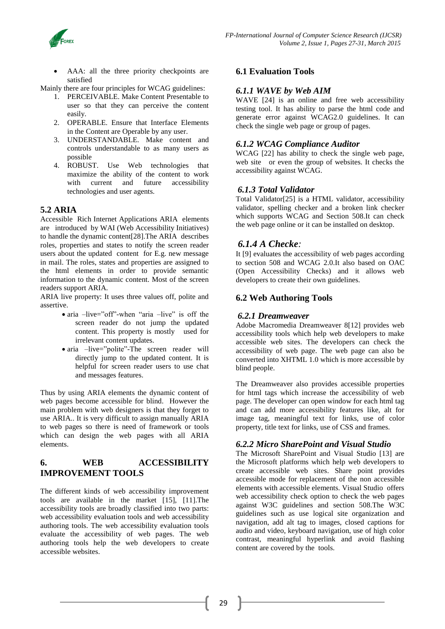

 AAA: all the three priority checkpoints are satisfied

Mainly there are four principles for WCAG guidelines:

- 1. PERCEIVABLE. Make Content Presentable to user so that they can perceive the content easily.
- 2. OPERABLE. Ensure that Interface Elements in the Content are Operable by any user.
- 3. UNDERSTANDABLE. Make content and controls understandable to as many users as possible
- 4. ROBUST. Use Web technologies that maximize the ability of the content to work with current and future accessibility technologies and user agents.

## **5.2 ARIA**

Accessible Rich Internet Applications ARIA elements are introduced by WAI (Web Accessibility Initiatives) to handle the dynamic content[28].The ARIA describes roles, properties and states to notify the screen reader users about the updated content for E.g. new message in mail. The roles, states and properties are assigned to the html elements in order to provide semantic information to the dynamic content. Most of the screen readers support ARIA.

ARIA live property: It uses three values off, polite and assertive.

- aria –live="off"-when "aria –live" is off the screen reader do not jump the updated content. This property is mostly used for irrelevant content updates.
- aria –live="polite"-The screen reader will directly jump to the updated content. It is helpful for screen reader users to use chat and messages features.

Thus by using ARIA elements the dynamic content of web pages become accessible for blind. However the main problem with web designers is that they forget to use ARIA.. It is very difficult to assign manually ARIA to web pages so there is need of framework or tools which can design the web pages with all ARIA elements.

## **6. WEB ACCESSIBILITY IMPROVEMENT TOOLS**

The different kinds of web accessibility improvement tools are available in the market [15], [11].The accessibility tools are broadly classified into two parts: web accessibility evaluation tools and web accessibility authoring tools. The web accessibility evaluation tools evaluate the accessibility of web pages. The web authoring tools help the web developers to create accessible websites.

# **6.1 Evaluation Tools**

#### *6.1.1 WAVE by Web AIM*

WAVE [24] is an online and free web accessibility testing tool. It has ability to parse the html code and generate error against WCAG2.0 guidelines. It can check the single web page or group of pages.

#### *6.1.2 WCAG Compliance Auditor*

WCAG [22] has ability to check the single web page, web site or even the group of websites. It checks the accessibility against WCAG.

#### *6.1.3 Total Validator*

Total Validator[25] is a HTML validator, accessibility validator, spelling checker and a broken link checker which supports WCAG and Section 508.It can check the web page online or it can be installed on desktop.

## *6.1.4 A Checke:*

It [9] evaluates the accessibility of web pages according to section 508 and WCAG 2.0.It also based on OAC (Open Accessibility Checks) and it allows web developers to create their own guidelines.

## **6.2 Web Authoring Tools**

#### *6.2.1 Dreamweaver*

Adobe Macromedia Dreamweaver 8[12] provides web accessibility tools which help web developers to make accessible web sites. The developers can check the accessibility of web page. The web page can also be converted into XHTML 1.0 which is more accessible by blind people.

The Dreamweaver also provides accessible properties for html tags which increase the accessibility of web page. The developer can open window for each html tag and can add more accessibility features like, alt for image tag, meaningful text for links, use of color property, title text for links, use of CSS and frames.

# *6.2.2 Micro SharePoint and Visual Studio*

The Microsoft SharePoint and Visual Studio [13] are the Microsoft platforms which help web developers to create accessible web sites. Share point provides accessible mode for replacement of the non accessible elements with accessible elements. Visual Studio offers web accessibility check option to check the web pages against W3C guidelines and section 508.The W3C guidelines such as use logical site organization and navigation, add alt tag to images, closed captions for audio and video, keyboard navigation, use of high color contrast, meaningful hyperlink and avoid flashing content are covered by the tools.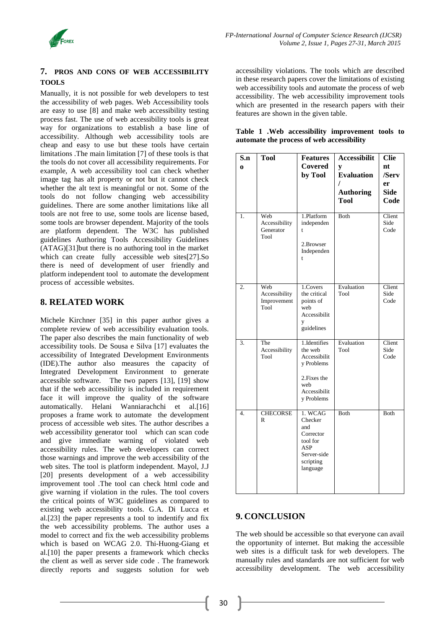

#### **7. PROS AND CONS OF WEB ACCESSIBILITY TOOLS**

Manually, it is not possible for web developers to test the accessibility of web pages. Web Accessibility tools are easy to use [8] and make web accessibility testing process fast. The use of web accessibility tools is great way for organizations to establish a base line of accessibility. Although web accessibility tools are cheap and easy to use but these tools have certain limitations .The main limitation [7] of these tools is that the tools do not cover all accessibility requirements. For example, A web accessibility tool can check whether image tag has alt property or not but it cannot check whether the alt text is meaningful or not. Some of the tools do not follow changing web accessibility guidelines. There are some another limitations like all tools are not free to use, some tools are license based, some tools are browser dependent. Majority of the tools are platform dependent. The W3C has published guidelines Authoring Tools Accessibility Guidelines (ATAG)[31]but there is no authoring tool in the market which can create fully accessible web sites[27].So there is need of development of user friendly and platform independent tool to automate the development process of accessible websites.

## **8. RELATED WORK**

Michele Kirchner [35] in this paper author gives a complete review of web accessibility evaluation tools. The paper also describes the main functionality of web accessibility tools. De Sousa e Silva [17] evaluates the accessibility of Integrated Development Environments (IDE).The author also measures the capacity of Integrated Development Environment to generate accessible software. The two papers [13], [19] show that if the web accessibility is included in requirement face it will improve the quality of the software automatically. Helani Wanniarachchi et al.[16] proposes a frame work to automate the development process of accessible web sites. The author describes a web accessibility generator tool which can scan code and give immediate warning of violated web accessibility rules. The web developers can correct those warnings and improve the web accessibility of the web sites. The tool is platform independent. Mayol, J.J [20] presents development of a web accessibility improvement tool .The tool can check html code and give warning if violation in the rules. The tool covers the critical points of W3C guidelines as compared to existing web accessibility tools. G.A. Di Lucca et al.[23] the paper represents a tool to indentify and fix the web accessibility problems. The author uses a model to correct and fix the web accessibility problems which is based on WCAG 2.0. Thi-Huong-Giang et al.[10] the paper presents a framework which checks the client as well as server side code . The framework directly reports and suggests solution for web

accessibility violations. The tools which are described in these research papers cover the limitations of existing web accessibility tools and automate the process of web accessibility. The web accessibility improvement tools which are presented in the research papers with their features are shown in the given table.

| S.n<br>$\Omega$<br>1. | <b>Tool</b><br>Web<br>Accessibility<br>Generator | <b>Features</b><br>Covered<br>by Tool<br>1.Platform<br>independen<br>t                                     | <b>Accessibilit</b><br>y<br><b>Evaluation</b><br>I<br><b>Authoring</b><br><b>Tool</b><br>Both | <b>Clie</b><br>nt<br>/Serv<br>er<br><b>Side</b><br>Code<br>Client<br>Side<br>Code |
|-----------------------|--------------------------------------------------|------------------------------------------------------------------------------------------------------------|-----------------------------------------------------------------------------------------------|-----------------------------------------------------------------------------------|
|                       | Tool                                             | 2.Browser<br>Independen<br>t                                                                               |                                                                                               |                                                                                   |
| $\overline{2}$ .      | Web<br>Accessibility<br>Improvement<br>Tool      | 1.Covers<br>the critical<br>points of<br>weh<br>Accessibilit<br>y<br>guidelines                            | Evaluation<br>Tool                                                                            | Client<br>Side<br>Code                                                            |
| 3.                    | The<br>Accessibility<br>Tool                     | 1.Identifies<br>the web<br>Accessibilit<br>y Problems<br>2. Fixes the<br>web<br>Accessibilit<br>y Problems | Evaluation<br>Tool                                                                            | Client<br>Side<br>Code                                                            |
| 4.                    | <b>CHECORSE</b><br>$\mathbb{R}$                  | 1. WCAG<br>Checker<br>and<br>Corrector<br>tool for<br><b>ASP</b><br>Server-side<br>scripting<br>language   | <b>Both</b>                                                                                   | Both                                                                              |

#### **Table 1 .Web accessibility improvement tools to automate the process of web accessibility**

# **9. CONCLUSION**

The web should be accessible so that everyone can avail the opportunity of internet. But making the accessible web sites is a difficult task for web developers. The manually rules and standards are not sufficient for web accessibility development. The web accessibility